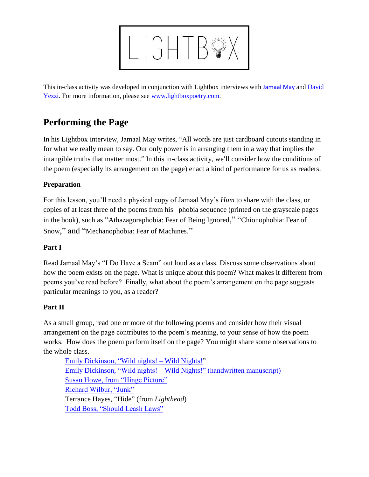

This in-class activity was developed in conjunction with Lightbox interviews with [Jamaal May](http://www.lightboxpoetry.com/?p=592) and [David](http://www.lightboxpoetry.com/?p=596)  [Yezzi.](http://www.lightboxpoetry.com/?p=596) For more information, please see [www.lightboxpoetry.com.](http://www.lightboxpoetry.com/)

# **Performing the Page**

In his Lightbox interview, Jamaal May writes, "All words are just cardboard cutouts standing in for what we really mean to say. Our only power is in arranging them in a way that implies the intangible truths that matter most." In this in-class activity, we'll consider how the conditions of the poem (especially its arrangement on the page) enact a kind of performance for us as readers.

### **Preparation**

For this lesson, you'll need a physical copy of Jamaal May's *Hum* to share with the class, or copies of at least three of the poems from his –phobia sequence (printed on the grayscale pages in the book), such as "Athazagoraphobia: Fear of Being Ignored," "Chionophobia: Fear of Snow," and "Mechanophobia: Fear of Machines."

## **Part I**

Read Jamaal May's "I Do Have a Seam" out loud as a class. Discuss some observations about how the poem exists on the page. What is unique about this poem? What makes it different from poems you've read before? Finally, what about the poem's arrangement on the page suggests particular meanings to you, as a reader?

#### **Part II**

As a small group, read one or more of the following poems and consider how their visual arrangement on the page contributes to the poem's meaning, to your sense of how the poem works. How does the poem perform itself on the page? You might share some observations to the whole class.

[Emily Dickinson,](http://www.poetryfoundation.org/poem/173343) "Wild nights! – Wild Nights!" Emily Dickinson, "Wild nights! – [Wild Nights!" \(handwritten manuscript\)](https://biblioklept.files.wordpress.com/2011/02/emily_dickinson_-wild_nights-_manuscript.jpg?w=739&h=1045) [Susan Howe, from "Hinge Picture"](http://www.poetryfoundation.org/poem/172009) [Richard Wilbur, "Junk"](http://www.poetryfoundation.org/poem/171790) Terrance Hayes, "Hide" (from *Lighthead*) [Todd Boss, "Should Leash Laws"](http://www.poetryfoundation.org/poetrymagazine/poem/239092)